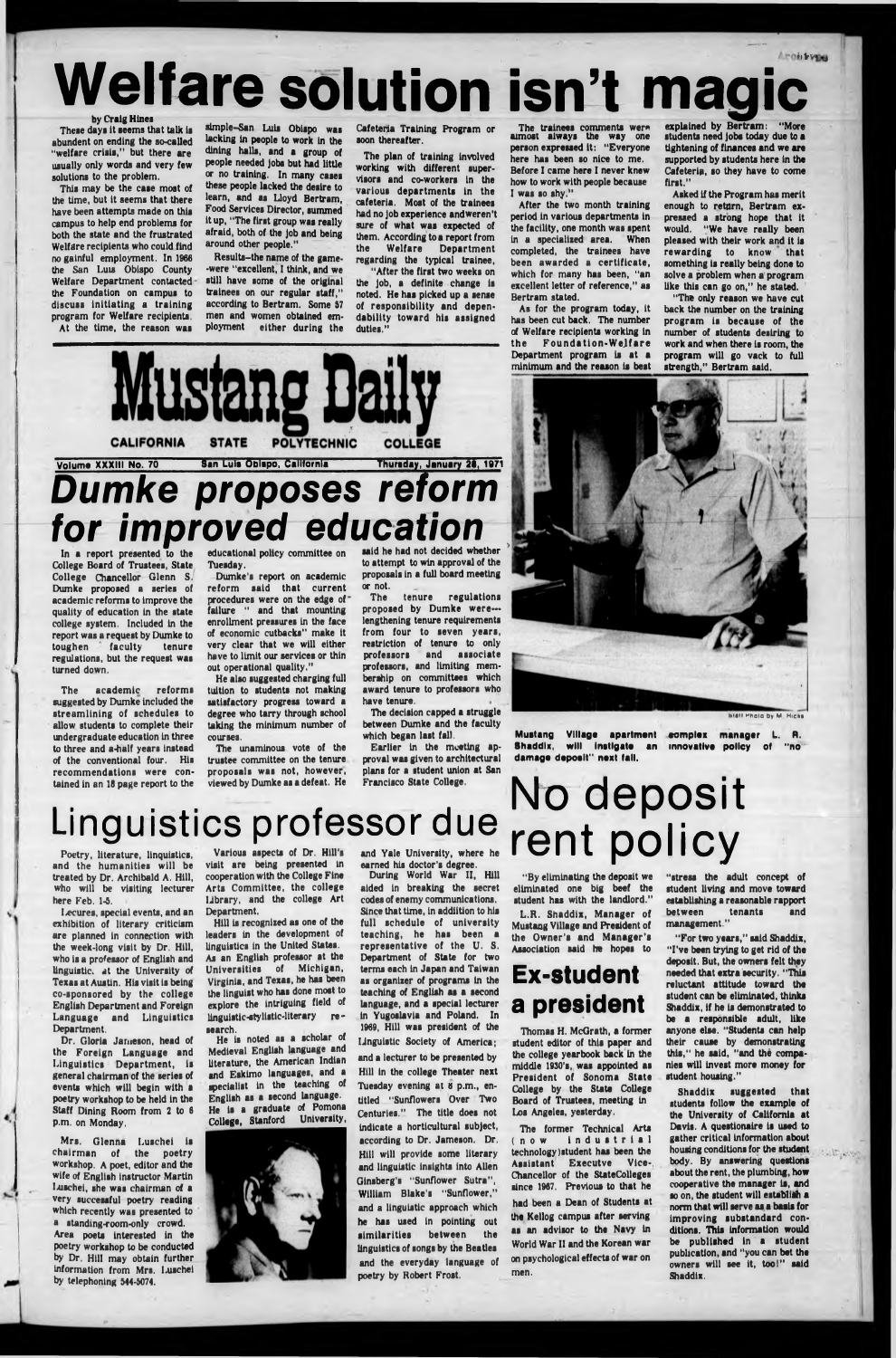#### **Archives**

# Welfare solution isn't magic

These days it seems that talk is abundent on ending the so-called "welfare crisis," but there are usually only words and very few solutions to the problem.

This may be the case most of the time, but it seems that there have been attempts made on this campus to help end problems for both the state and the frustrated Welfare recipients who could find no gainful employment. In 1966 the San Luis Obispo County Welfare Department contacted the Foundation on campus to discuss initiating a training program for Welfare recipients. At the time, the reason was

slmple-San Luis Obispo was lacking in people to work in the dining halls, and a group of people needed Jobs but had little or no training. In many cases these people lacked the desire to learn, and as Lloyd Bertram, Food Services Director, summed it up, "The first group was really afraid, both of the Job and being around other people."

Results-the name of the game- -were "excellent, I think, and we still have some of the original trainees on our regular staff," according to Bertram. Some 57 men and women obtained employment either during the

Cafeteria Training Program or soon thereafter.

The plan of training involved working with different supervisors and co-workers in the various departments in the cafeteria. Most of the trainees had no Job experience and weren't sure of what was expected of them. According to a report from the Welfare Department regarding the typical trainee,

"After the first two weeks on the Job, a definite change is noted. He has picked up a sense of responsibility and dependability toward his assigned duties."

The trainees comments were almost always the way one person expressed it: "Everyone here has been so nice to me. Before I came here I never knew how to work with people because I was so shy."

The academic reforms suggested by Dumke Included the streamlining of schedules to allow students to complete their undergraduate education in three to three and a-half years instead of the conventional four. His recommendations were contained in an 18 page report to the

After the two month training period in various departments in the facility, one month was spent in a specialized area. When completed, the trainees have been awarded a certificate, which for many has been, "an excellent letter of reference," as Bertram stated.

As for the program today, it has been cut back. The number of Welfare recipients working in the Foundation-Welfare Department program is at a minimum and the reason is best

explained by Bertram: "More students need Jobs today due to a tightening of finances and we are supported by students here in the Cafeteria, so they have to come first."

Asked if the Program has merit enough to return, Bertram expressed a strong hope that it would. "We have really been pleased with their work and it is rewarding to know that something is really being done to solve a problem when a program like this can go on," he stated.

"The only reason we have cut back the number on the training program is because of the number of students desiring to work and when there is room, the program will go vack to full strength," Bertram said.



# **Volume XXXIII No. 70** San Luls Oblepo, California Thureday, January 26, 1971<br>**for improved educational proposes reform**<br>In a report presented to the educational policy committee on and he had not decided whether

Hill is recognized as one of the leaders in the development of linguistics in the United States. As an English professor at the Universities of Michigan. Virginia, and Texas, he has been the linguist who has done most to explore the Intriguing field of linguistic-stylistic-literary re-

College Board of Trustees, State College Chancellor Glenn S. Dumke proposed a series of academic reforms to Improve the quality of education in the state college system. Included in the report was a request by Dumke to toughen faculty tenure regulations, but the request was turned down.

educational policy committee on Tuesday.

Dumke's report on academic reform said that current procedures were on the edge offailure " and that mounting enrollment pressures in the face of economic cutbacks" make it very clear that we will either have to limit our services or thin out operational quality."

> full schedule of university teaching, he has been a representative of the U. S. Department of State for two terms each in Japan and Taiwan as organizer of programs in the teaching of English as a second language, and a special lecturer in Yugoslavia and Poland. In 1969, Hill was president of the linguistic Society of America; and a lecturer to be presented by Hill in the college Theater next Tuesday evening at 8 p.m., entitled "Sunflowers Over Two Centuries." The title does not indicate a horticultural subject, according to Dr. Jameson. Dr. Hill will provide some literary and linguistic insights into Allen Ginsberg's "Sunflower Sutra", William Blake's "Sunflower," and a linguistic approach which he has used in pointing out similarities between the linguistics of songs by the Beatles and the everyday language of poetry by Robert Frost.

He also suggested charging full tuition to students not making satisfactory progress toward a degree who tarry through school taking the minimum number of courses.

The unaminous vote of the trustee committee on the tenure proposals was not, however, viewed by Dumke as a defeat. He

said he had not decided whether to attempt to win approval of the proposals in a full board meeting or not.

The tenure regulations proposed by Dumke werelengthening tenure requirements from four to seven years, restriction of tenure to only professors and associate professors, and limiting membership on committees which award tenure to professors who have tenure.

> "For two years," said Shaddix, 'T've been trying to get rid of the deposit. But, the owners felt they needed that extra security. "This reluctant attitude toward the student can be eliminated, thinks Shaddix, if he is demonstrated to be a responsible adult, like anyone else. "Students can help their cause by demonstrating this," he said, "and the companies will invest more money for student housing."

The decision capped a struggle between Dumke and the faculty which began last fall.

Earlier in the meeting approval was given to architectural plans for a student union at San Francisco State College.



**blatt Phoio by M. Hicke** 

Shaddix suggested that students follow the example of the University of California at Davis. A questionaire is used to gather critical Information about housing conditions for the student body. By answering questions about the rent, the plumbing, how cooperative the manager is, and so on, the student will establish a norm that will serve as a basis for improving substandard conditions. This Information would be published in a student publication, and "you can bet the owners will see it, too!" said Shaddix.

## **Linguistics professor due**

Poetry, literature, linquistics, and the humanities will be treated by Dr. Archibald A. Hill, who will be visiting lecturer here Feb. 1-5.

I/ecures, special events, and an

exhibition of literary criticism are planned in connection with the week-long visit by Dr. Hill, who is a professor of English and linguistic, at the University of Texas at Austin. His visit is being co-sponsored by the college English Department and Foreign Language and Linguistics Department.

Dr. Gloria Jameson, head of the Foreign Language and Linguistics Department, is general chairman of the series of events which will begin with a poetry workshop to be held in the Staff Dining Room from 2 to 6 p.m. on Monday.

۰

Mrs. Glenna Luschei is chairman of the poetry workshop. A poet, editor and the wife of English instructor Martin Ixischei, she was chairman of a very successful poetry reading which recently was presented to a standing-room-only crowd, Area poets Interested in the poetry workshop to be conducted by Dr. Hill may obtain further information from Mrs. Luschei by telephoning 544-5074.

Various aspects of Dr. Hill's visit are being presented in cooperation with the College Fine Arts Committee, the college library, and the college Art Department.

search. , . He is noted as a scholar of Medieval English language and literature, the American Indian and Eskimo languages, and a specialist in the teaching of English as a second language. He is a graduate of Pomona College, Stanford University,



and Yale University, where he earned his doctor's degree.

During World War II, Hill aided in breaking the secret codes of enemy communications. Since that time, In addiition to his

**Mustang Village apartment complex manager L. R. Shaddlx, will Inetlgate an innovative policy ot "no damage deposit" next tall.**

Mustang Village and President of the Owner's and Manager's Association said he hopes to

## **Ex-student a president**

Thomas H. McGrath, a former student editor of this paper and the college yearbook back In the middle 1930's, was appointed as President of Sonoma State College by the State College Board of Trustees, meeting in Los Angeles, yesterday.

The former Technical Arts (now Industrial technology ) student has been the Assistant Executve Vice-. Chancellor of the StateColleges since 1967. Previous to that he had been a Dean of Students at the Kellog campus after serving as an advisor to the Navy In World War II and the Korean war on psychological effects of war on men.

" stress the adult concept of student living and move toward establishing a reasonable rapport between tenants and

management."

"By eliminating the deposit we eliminated one big beef the student has with the landlord." L.R. Shaddix, Manager of **rent policy**

**No deposit**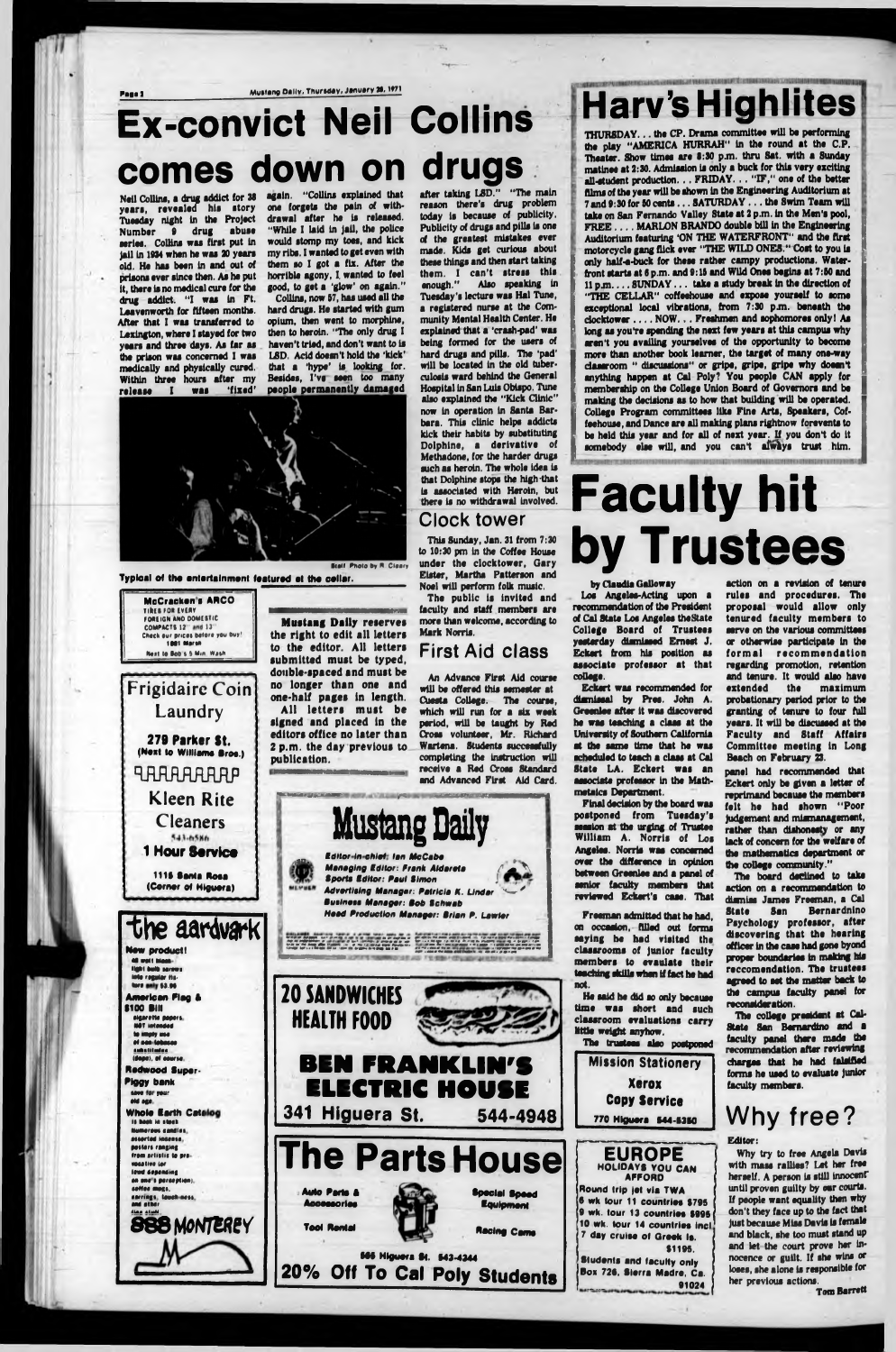Mustang Dally, Thursday, January 28, 1971

#### **Ex-convict Neil Collins** comes down on drugs after taking LSD." "The main

Neil Collins, a drug addict for 38<br>years, revealed his story Tuesday night in the Project Number 9 drug abuse series. Collins was first put in iail in 1934 when he was 20 years old. He has been in and out of prisons ever since then. As he put it, there is no medical cure for the drug addict. "I was in Ft. Leavenworth for fifteen months. After that I was transferred to Lexington, where I stayed for two years and three days. As far as the prison was concerned I was medically and physically cured. Within three hours after my release I was 'fixed'

again. "Collins explained that one forgets the pain of withdrawal after he is released. "While I laid in jail, the police would stomp my toes, and kick my ribs. I wanted to get even with them so I got a fix. After the horrible agony, I wanted to feel good, to get a 'glow' on again." Collins, now 57, has used all the

reason there's drug problem

today is because of publicity.

Publicity of drugs and pills is one

of the greatest mistakes ever<br>made. Kids get curious about

these things and then start taking

them. I can't stress this

enough." Also speaking in

Tuesday's lecture was Hal Tune,

a registered nurse at the Com-

munity Mental Health Center. He

explained that a 'crash-pad' was

being formed for the users of

hard drugs and pills. The 'pad'

will be located in the old tuber-

culosis ward behind the General

Hospital in San Luis Obispo. Tune

also explained the "Kick Clinic"

now in operation in Santa Barbara. This clinic helps addicts

kick their habits by substituting

Dolphine, a derivative of

Methadone, for the harder drugs such as heroin. The whole idea is that Dolphine stops the high-that

is associated with Heroin, but there is no withdrawal involved.

This Sunday, Jan. 31 from 7:30 to 10:30 pm in the Coffee House under the clocktower. Gary

Eister, Martha Patterson and

The public is invited and

faculty and staff members are

more than welcome, according to

**First Aid class** 

Mark Norris.

Noel will perform folk music.

Clock tower

hard drugs. He started with gum coium, then went to morphine, then to heroin. "The only drug I haven't tried, and don't want to is LSD. Acid doesn't hold the 'kick' that a 'hype' is looking for. Besides, I've seen too many people permanently damaged



Typical of the entertainment featured et the cellar.



**Mustang Daily reserves** the right to edit all letters to the editor. All letters submitted must be typed. double-spaced and must be no longer than one and

All letters must be signed and placed in the editors office no later than 2 p.m. the day previous to publication.

#### and Advanced First Aid Card. Mustang Daily Editor-in-chief: Ian McCabe **Managing Editor: Frank Aldareta Sports Editor: Paul Simon** Advertising Manager: Patricia K. Lindar **Business Manager: Bob Schwab 1800r: Brian P. Lawle**

# **Harv's Highlites**

THURSDAY... the CP. Drama committee will be performing the play "AMERICA HURRAH" in the round at the C.P. Theater. Show times are 8:30 p.m. thru Sat. with a Sunday matinee at 2:30. Admission is only a buck for this very exciting all-student production. . . FRIDAY. . . "IF," one of the better films of the year will be shown in the Engineering Auditorium at 7 and 9:30 for 50 cents . . . SATURDAY . . . the Swim Team will take on San Fernando Valley State at 2 p.m. in the Men's pool. FREE . . . . MARLON BRANDO double bill in the Engineering Auditorium featuring 'ON THE WATERFRONT" and the first motorcycle gang flick ever "THE WILD ONES." Cost to you is only half-a-buck for these rather campy productions. Waterfront starts at 6 p.m. and 9:15 and Wild Ones begins at 7:50 and 11 p.m. . . . SUNDAY . . . take a study break in the direction of "THE CELLAR" coffeehouse and expose yourself to some exceptional local vibrations, from 7:30 p.m. beneath the clocktower .... NOW... Freshmen and sophomores only! As long as you're spending the next few years at this campus why aren't you availing yourselves of the opportunity to become more than another book learner, the target of many one-way classroom " discussions" or gripe, gripe, gripe why doesn't anything happen at Cal Poly? You people CAN apply for membership on the College Union Board of Governors and be making the decisions as to how that building will be operated. College Program committees like Fine Arts, Speakers, Coffeehouse, and Dance are all making plans rightnow forevents to be held this year and for all of next year. If you don't do it somebody else will, and you can't always trust him.

# **Faculty hit** by Trustees

#### by Claudia Galloway

Los Angeles-Acting upon a recommendation of the President of Cal State Los Angeles the State College Board of Trustees yesterday dismissed Ernest J. Eckert from his position as associate professor at that collage.

Eckert was recommended for dismissal by Pres. John A. Greenlee after it was discovered he was teaching a class at the University of Southern California at the same time that he was scheduled to teach a class at Cal State LA. Eckert was an associate professor in the Mathmetaics Department.

Final decision by the board was postponed from Tuesday's session at the urging of Trustee William A. Norris of Los Angeles. Norris was concerned over the difference in opinion between Greenlee and a panel of senior faculty members that reviewed Eckert's case. That

Freeman admitted that he had.

action on a revision of tenure rules and procedures. The proposal would allow only tenured faculty members to serve on the various committees or otherwise participate in the formal recommendation regarding promotion, retention and tenure. It would also have extended the maximum probationary period prior to the granting of tenure to four full years. It will be discussed at the Faculty and Staff Affairs Committee meeting in Long Beach on February 23.

panel had recommended that Eckert only be given a letter of reprimand because the members felt he had shown "Poor judgement and mismanagement, rather than dishonesty or any lack of concern for the welfare of the mathematics department or the college community."

The board declined to take action on a recommendation to dismiss James Freeman, a Cal **San** Psychology professor, after discovering that the hearing officer in the case had gone byond proper boundaries in making his reccomendation. The trustees agreed to set the matter back to the campus faculty panel for reconsideration. The college president at Cal-State San Bernardino and a faculty panel there made the recommendation after reviewing charges that he had falsified forms he used to evaluate junior faculty members.





on occasion. filled out forms saying he had visited the classrooms of junior faculty members to evaulate their teaching skills when if fact he had not. He said he did so only because time was short and such classroom evaluations carry little weight anyhow. The trustees also postponed **Mission Stationery** Xerox **Copy Service** 544-4948 770 Higuera 544-5350 **EUROPE** HOLIDAYS YOU CAN **AFFORD** Round trip jet via TWA **Special Speed** 6 wk tour 11 countries \$795 **Equipment** 9 wk. tour 13 countries \$995 10 wk. tour 14 countries incl. **Racing Came** 7 day cruise of Greek Is. Students and faculty only Box 726, Sierra Madre, Ca.

## Why free?

**Editor:** 

\$1195.

91024

Why try to free Angela Davis with mass railies? Let her free herself. A person is still innocent until proven guilty by our courts. If people want equality then why don't they face up to the fact that just because Mias Davis is female and black, she too must stand up and let the court prove her innocence or guilt. If she wins or loses, she alone is responsible for her previous actions. **Tom Barrett**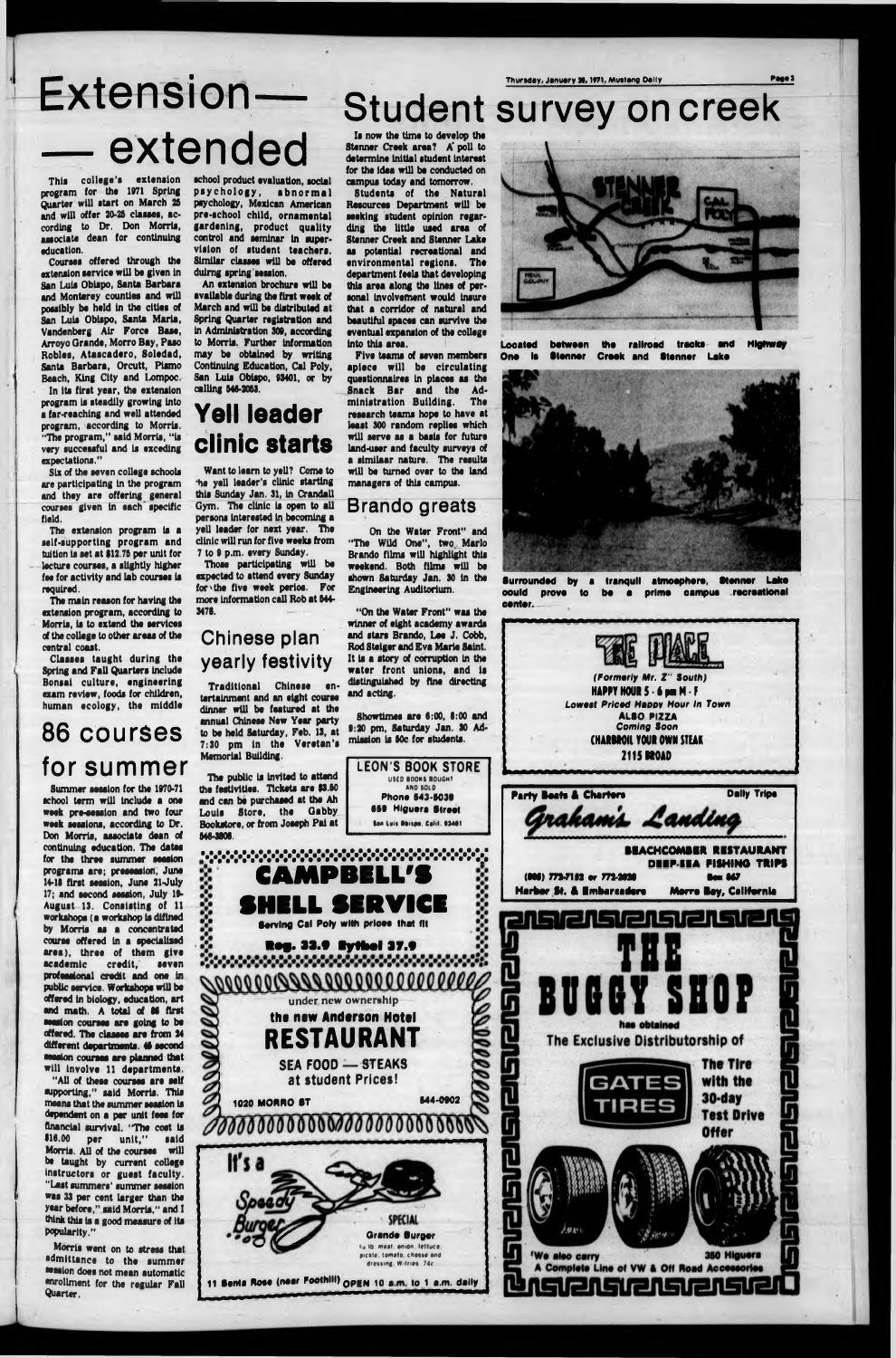# Extension-**— extended**



program (or the 1971 Spring Quarter will start on March 25 and will offer 20-25 classes, according to Dr. Don Morris, associate dean for continuing education.

Courses offered through the extension service will be given in San Luis Obispo, Santa Barbara and Monterey counties and will possibly be held In the cities of San Luis Obispo, Santa Marla, Vandenberg Air Force Base, Arroyo Grande, Morro Bay, Paao Robles, Atascadero, Soledad, Santa Barbara, Orcutt, Plsmo Beach, King City and Lompoc.

The extension program is a self-supporting program and tuition is set at \$12.75 per unit for lecture courses, a slightly higher fee for activity and lab courses is required.

In its first year, the extension program Is steadily growing Into a far-reaching and well attended program, according to Morris. "The program," said Morris, "is very successful and is exceding expectations."

This college's extension school-product-evaluation, social psychology, abnormal psychology, Mexican American pre-school child, ornamental gardening, product quality control and seminar in supervision of student teachers. Similar classes will be offered duirng spring session.

Six of the seven college schools are participating In the program and they are offering general courses given in each specific field.

The main reason for having the extension program, according to Morris, is to extend the services of the college to other areas of the central coast.

Classes taught during the Spring and Fall Quarters Include Bonsai culture, engineering exam review, foods for children, human ecology, the middle

## **86 courses for summer**

An extension brochure will be available during the first week of March and will be distributed at Spring Quarter registration and in Administration 309, according to Morris. Further Information may be obtained by writing Continuing Education, Cal Poly, San Luis Obispo, 93401, or by calling 549-2063.

## **Yell leader clinic starts**

Want to learn to yell? Come to 'he yell leader's clinic starting this Sunday Jan. 31, In Crandall Gym. The clinic is open to all persons Interested In becoming a yell leader for next year. The clinic will run for five weeks from 7 to 9 p.m. every Sunday.

Those participating will be expected to attend every Sunday for the five week perios. For more Information call Rob at 544- 3478.

#### Chinese plan yearly festivity

tertainment and an eight course dinner will be featured at the annual Chinese New Year party to be held Saturday, Feb. 13, at 7:30 pm in the Veretan's Memorial Building.

The public la Invited to attend the festivities. Tickets are \$3.60 and can be purchased at the Ah Louis Store, the Gabby Bookstore, or from Joseph Pal at 549-3806.

Is now the time to develop the Stenner Creek area? A\* poll to determine Initial student Interest for the Idea will be conducted on campus today and tomorrow.

Students of the Natural Resources Department will be seeking student opinion regarding the little used area of Stenner Creek and Stenner Lake as potential recreational and environmental regions. The department feels that developing this area along the lines of personal involvement would insure that a corridor of natural and beautiful spaces can survive the eventual expansion of the college Into this area.

Five teams of seven members apiece will be circulating questionnaires In places as the Snack Bar and the Administration Building. The research teams hope to have at least 300 random replies which will serve as a basis for future land-user and faculty surveys of a similaar nature. The results will be turned over to the land managers of this campus.

#### Brando greats

On the Water Front" and "The Wild One", two. Mario Brando films will highlight this weekend. Both films will be shown Saturday Jan. 30 In the Engineering Auditorium.

"On the Water Front" was the winner of eight academy awards and stars Brando, Lee J. Cobb, Rod Steiger and Eva Marie Saint. water front unions, and is distinguished by fine directing

**Located between the railroad tracks and Highway One is Stenner Creek and Stenner Lake**



**Surrounded by a tranquil atmosphere, Stenner Lake oould prove to be a prime campus recreational center —**

Summer session for the 1970-71 school term will include a one week pre-session and two four week sessions, according to Dr. Don Morris, associate dean of continuing education. The dates for the three summer session programs are; presession, June 14-18 first session, June 21-July 17; and second session, July 19- August 13. Consisting of 11 workshops (a workshop is diflned by Morris as a concentrated course offered In a specialized area), three of them give academic credit, seven professional credit and one In public service. Workshops will be offered in biology, education, art and math. A total of 86 first session courses are going to be offered. The classes are from 24 different departments. **45** second session courses are planned that will Involve 11 departments. "All of these courses are self supporting," said Morris. This means that the summer session la dependent on a per unit fees for financial survival. "The cost is \$16.00 per unit," said Morris. All of the courses will be taught by current college Instructors or guest faculty. "Last summers' summer session was 33 per cent larger than the year before," said Morris," and I think this is a good measure of its Popularity."



Morris went on to stress that admittance to the summer session does not mean automatic onrollment for the regular Fall Quarter.